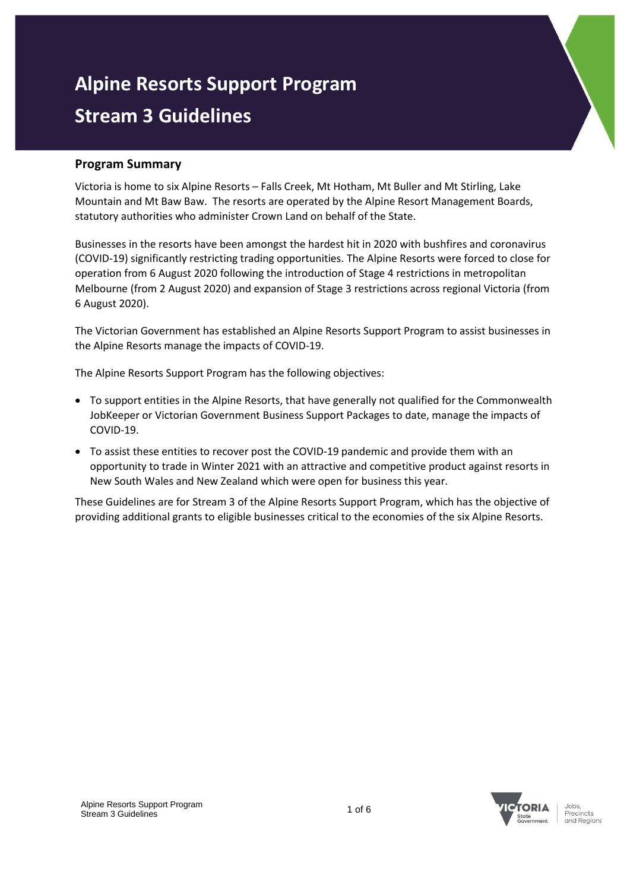# **Alpine Resorts Support Program Stream 3 Guidelines**

# **Program Summary**

Victoria is home to six Alpine Resorts – Falls Creek, Mt Hotham, Mt Buller and Mt Stirling, Lake Mountain and Mt Baw Baw. The resorts are operated by the Alpine Resort Management Boards, statutory authorities who administer Crown Land on behalf of the State.

Businesses in the resorts have been amongst the hardest hit in 2020 with bushfires and coronavirus (COVID-19) significantly restricting trading opportunities. The Alpine Resorts were forced to close for operation from 6 August 2020 following the introduction of Stage 4 restrictions in metropolitan Melbourne (from 2 August 2020) and expansion of Stage 3 restrictions across regional Victoria (from 6 August 2020).

The Victorian Government has established an Alpine Resorts Support Program to assist businesses in the Alpine Resorts manage the impacts of COVID-19.

The Alpine Resorts Support Program has the following objectives:

- To support entities in the Alpine Resorts, that have generally not qualified for the Commonwealth JobKeeper or Victorian Government Business Support Packages to date, manage the impacts of COVID-19.
- To assist these entities to recover post the COVID-19 pandemic and provide them with an opportunity to trade in Winter 2021 with an attractive and competitive product against resorts in New South Wales and New Zealand which were open for business this year.

These Guidelines are for Stream 3 of the Alpine Resorts Support Program, which has the objective of providing additional grants to eligible businesses critical to the economies of the six Alpine Resorts.



Precincts and Regions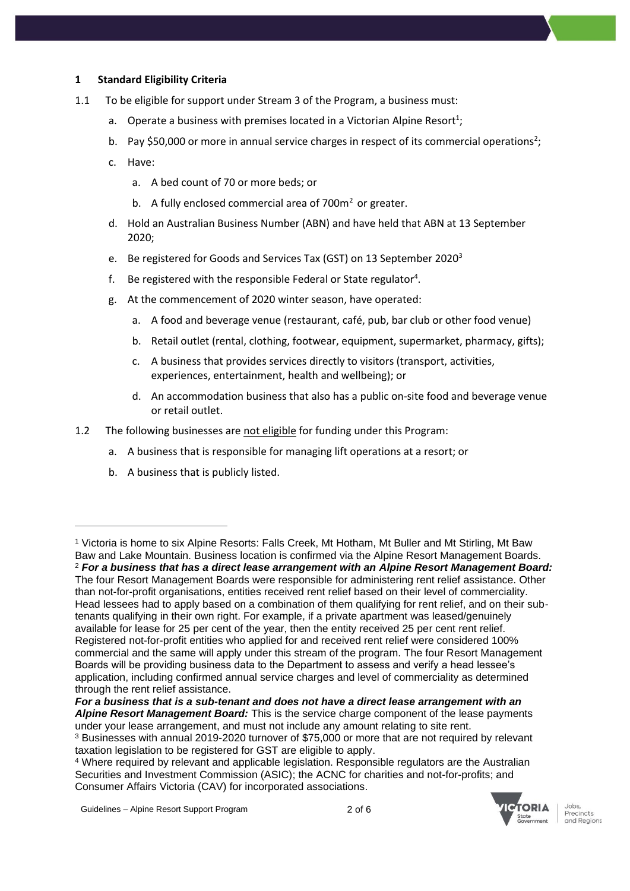## **1 Standard Eligibility Criteria**

- 1.1 To be eligible for support under Stream 3 of the Program, a business must:
	- a. Operate a business with premises located in a Victorian Alpine Resort<sup>1</sup>;
	- b. Pay \$50,000 or more in annual service charges in respect of its commercial operations<sup>2</sup>;
	- c. Have:
		- a. A bed count of 70 or more beds; or
		- b. A fully enclosed commercial area of  $700m<sup>2</sup>$  or greater.
	- d. Hold an Australian Business Number (ABN) and have held that ABN at 13 September 2020;
	- e. Be registered for Goods and Services Tax (GST) on 13 September 2020<sup>3</sup>
	- f. Be registered with the responsible Federal or State regulator<sup>4</sup>.
	- g. At the commencement of 2020 winter season, have operated:
		- a. A food and beverage venue (restaurant, café, pub, bar club or other food venue)
		- b. Retail outlet (rental, clothing, footwear, equipment, supermarket, pharmacy, gifts);
		- c. A business that provides services directly to visitors (transport, activities, experiences, entertainment, health and wellbeing); or
		- d. An accommodation business that also has a public on-site food and beverage venue or retail outlet.
- 1.2 The following businesses are not eligible for funding under this Program:
	- a. A business that is responsible for managing lift operations at a resort; or
	- b. A business that is publicly listed.

under your lease arrangement, and must not include any amount relating to site rent. <sup>3</sup> Businesses with annual 2019-2020 turnover of \$75,000 or more that are not required by relevant



Precincts and Regions

<sup>1</sup> Victoria is home to six Alpine Resorts: Falls Creek, Mt Hotham, Mt Buller and Mt Stirling, Mt Baw Baw and Lake Mountain. Business location is confirmed via the Alpine Resort Management Boards. <sup>2</sup> *For a business that has a direct lease arrangement with an Alpine Resort Management Board:* The four Resort Management Boards were responsible for administering rent relief assistance. Other than not-for-profit organisations, entities received rent relief based on their level of commerciality. Head lessees had to apply based on a combination of them qualifying for rent relief, and on their subtenants qualifying in their own right. For example, if a private apartment was leased/genuinely available for lease for 25 per cent of the year, then the entity received 25 per cent rent relief. Registered not-for-profit entities who applied for and received rent relief were considered 100% commercial and the same will apply under this stream of the program. The four Resort Management Boards will be providing business data to the Department to assess and verify a head lessee's application, including confirmed annual service charges and level of commerciality as determined through the rent relief assistance.

*For a business that is a sub-tenant and does not have a direct lease arrangement with an Alpine Resort Management Board:* This is the service charge component of the lease payments

taxation legislation to be registered for GST are eligible to apply.

<sup>4</sup> Where required by relevant and applicable legislation. Responsible regulators are the Australian Securities and Investment Commission (ASIC); the ACNC for charities and not-for-profits; and Consumer Affairs Victoria (CAV) for incorporated associations.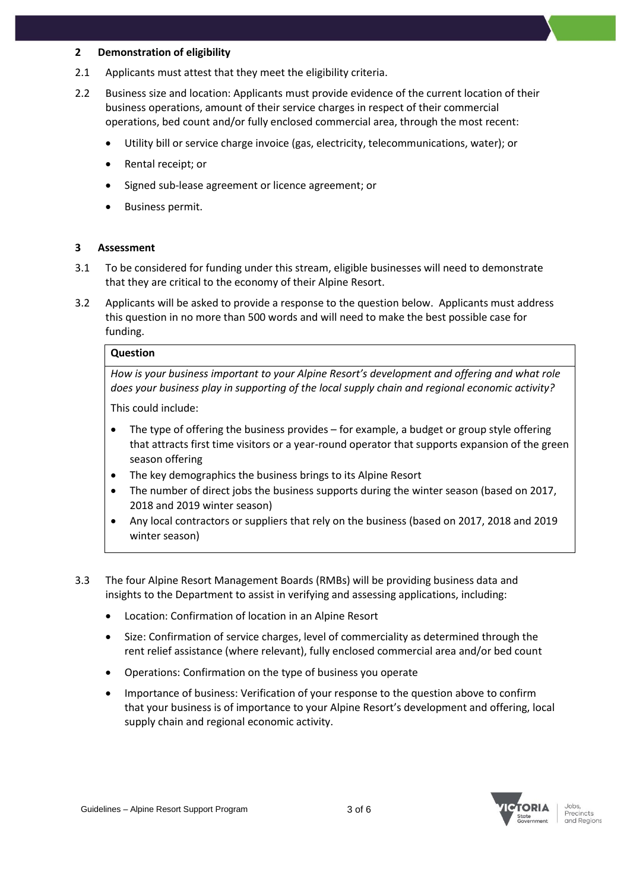#### **2 Demonstration of eligibility**

- 2.1 Applicants must attest that they meet the eligibility criteria.
- 2.2 Business size and location: Applicants must provide evidence of the current location of their business operations, amount of their service charges in respect of their commercial operations, bed count and/or fully enclosed commercial area, through the most recent:
	- Utility bill or service charge invoice (gas, electricity, telecommunications, water); or
	- Rental receipt; or
	- Signed sub-lease agreement or licence agreement; or
	- Business permit.

#### **3 Assessment**

- 3.1 To be considered for funding under this stream, eligible businesses will need to demonstrate that they are critical to the economy of their Alpine Resort.
- 3.2 Applicants will be asked to provide a response to the question below. Applicants must address this question in no more than 500 words and will need to make the best possible case for funding.

# **Question**

*How is your business important to your Alpine Resort's development and offering and what role does your business play in supporting of the local supply chain and regional economic activity?* 

This could include:

- The type of offering the business provides for example, a budget or group style offering that attracts first time visitors or a year-round operator that supports expansion of the green season offering
- The key demographics the business brings to its Alpine Resort
- The number of direct jobs the business supports during the winter season (based on 2017, 2018 and 2019 winter season)
- Any local contractors or suppliers that rely on the business (based on 2017, 2018 and 2019 winter season)
- 3.3 The four Alpine Resort Management Boards (RMBs) will be providing business data and insights to the Department to assist in verifying and assessing applications, including:
	- Location: Confirmation of location in an Alpine Resort
	- Size: Confirmation of service charges, level of commerciality as determined through the rent relief assistance (where relevant), fully enclosed commercial area and/or bed count
	- Operations: Confirmation on the type of business you operate
	- Importance of business: Verification of your response to the question above to confirm that your business is of importance to your Alpine Resort's development and offering, local supply chain and regional economic activity.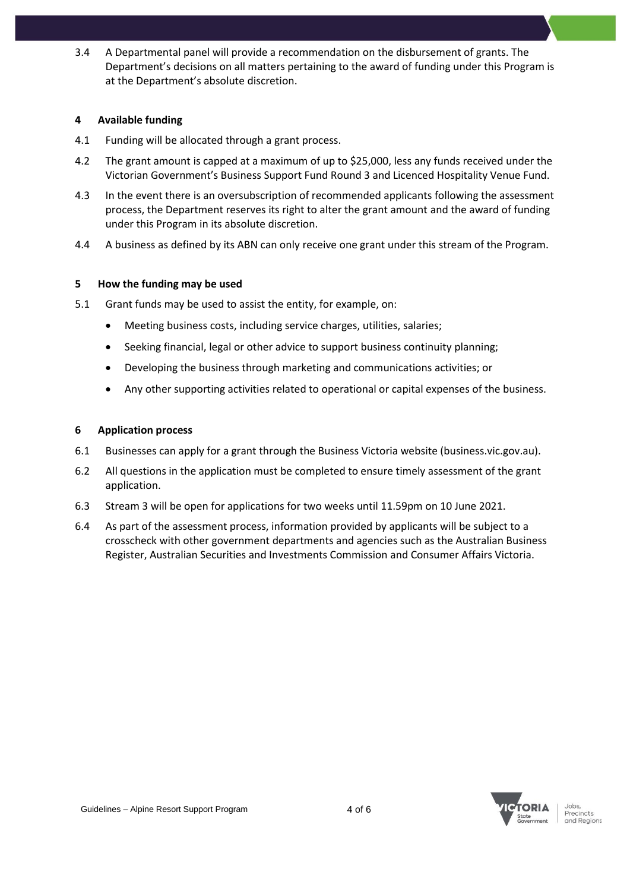3.4 A Departmental panel will provide a recommendation on the disbursement of grants. The Department's decisions on all matters pertaining to the award of funding under this Program is at the Department's absolute discretion.

## **4 Available funding**

- 4.1 Funding will be allocated through a grant process.
- 4.2 The grant amount is capped at a maximum of up to \$25,000, less any funds received under the Victorian Government's Business Support Fund Round 3 and Licenced Hospitality Venue Fund.
- 4.3 In the event there is an oversubscription of recommended applicants following the assessment process, the Department reserves its right to alter the grant amount and the award of funding under this Program in its absolute discretion.
- 4.4 A business as defined by its ABN can only receive one grant under this stream of the Program.

#### **5 How the funding may be used**

- 5.1 Grant funds may be used to assist the entity, for example, on:
	- Meeting business costs, including service charges, utilities, salaries;
	- Seeking financial, legal or other advice to support business continuity planning;
	- Developing the business through marketing and communications activities; or
	- Any other supporting activities related to operational or capital expenses of the business.

#### **6 Application process**

- 6.1 Businesses can apply for a grant through the Business Victoria website (business.vic.gov.au).
- 6.2 All questions in the application must be completed to ensure timely assessment of the grant application.
- 6.3 Stream 3 will be open for applications for two weeks until 11.59pm on 10 June 2021.
- 6.4 As part of the assessment process, information provided by applicants will be subject to a crosscheck with other government departments and agencies such as the Australian Business Register, Australian Securities and Investments Commission and Consumer Affairs Victoria.

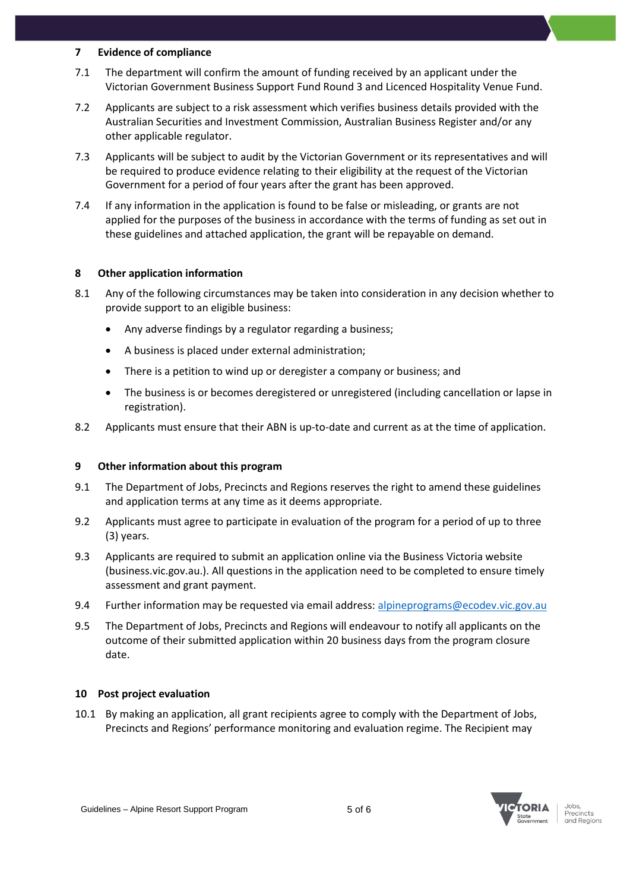#### **7 Evidence of compliance**

- 7.1 The department will confirm the amount of funding received by an applicant under the Victorian Government Business Support Fund Round 3 and Licenced Hospitality Venue Fund.
- 7.2 Applicants are subject to a risk assessment which verifies business details provided with the Australian Securities and Investment Commission, Australian Business Register and/or any other applicable regulator.
- 7.3 Applicants will be subject to audit by the Victorian Government or its representatives and will be required to produce evidence relating to their eligibility at the request of the Victorian Government for a period of four years after the grant has been approved.
- 7.4 If any information in the application is found to be false or misleading, or grants are not applied for the purposes of the business in accordance with the terms of funding as set out in these guidelines and attached application, the grant will be repayable on demand.

## **8 Other application information**

- 8.1 Any of the following circumstances may be taken into consideration in any decision whether to provide support to an eligible business:
	- Any adverse findings by a regulator regarding a business;
	- A business is placed under external administration;
	- There is a petition to wind up or deregister a company or business; and
	- The business is or becomes deregistered or unregistered (including cancellation or lapse in registration).
- 8.2 Applicants must ensure that their ABN is up-to-date and current as at the time of application.

# **9 Other information about this program**

- 9.1 The Department of Jobs, Precincts and Regions reserves the right to amend these guidelines and application terms at any time as it deems appropriate.
- 9.2 Applicants must agree to participate in evaluation of the program for a period of up to three (3) years.
- 9.3 Applicants are required to submit an application online via the Business Victoria website (business.vic.gov.au.). All questions in the application need to be completed to ensure timely assessment and grant payment.
- 9.4 Further information may be requested via email address: [alpineprograms@ecodev.vic.gov.au](mailto:alpineprograms@ecodev.vic.gov.au)
- 9.5 The Department of Jobs, Precincts and Regions will endeavour to notify all applicants on the outcome of their submitted application within 20 business days from the program closure date.

#### **10 Post project evaluation**

10.1 By making an application, all grant recipients agree to comply with the Department of Jobs, Precincts and Regions' performance monitoring and evaluation regime. The Recipient may